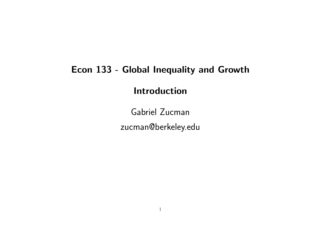#### Econ 133 - Global Inequality and Growth

Introduction

Gabriel Zucman zucman@berkeley.edu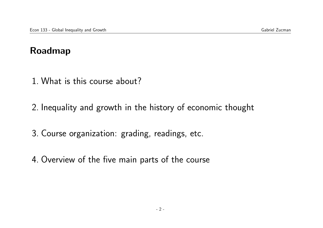#### Roadmap

- 1. What is this course about?
- 2. Inequality and growth in the history of economic thought
- 3. Course organization: grading, readings, etc.
- 4. Overview of the five main parts of the course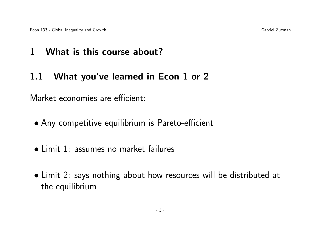### 1 What is this course about?

### 1.1 What you've learned in Econ 1 or 2

Market economies are efficient:

- Any competitive equilibrium is Pareto-efficient
- Limit 1: assumes no market failures
- Limit 2: says nothing about how resources will be distributed at the equilibrium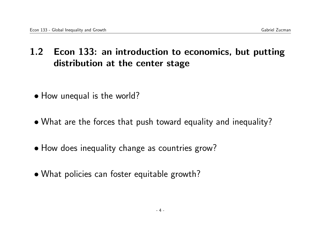## 1.2 Econ 133: an introduction to economics, but putting distribution at the center stage

- How unequal is the world?
- What are the forces that push toward equality and inequality?
- How does inequality change as countries grow?
- What policies can foster equitable growth?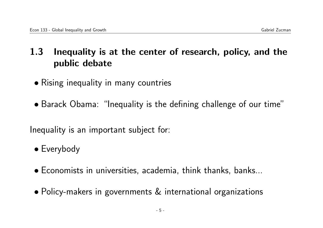## 1.3 Inequality is at the center of research, policy, and the public debate

- Rising inequality in many countries
- Barack Obama: "Inequality is the defining challenge of our time"

Inequality is an important subject for:

- Everybody
- Economists in universities, academia, think thanks, banks...
- Policy-makers in governments & international organizations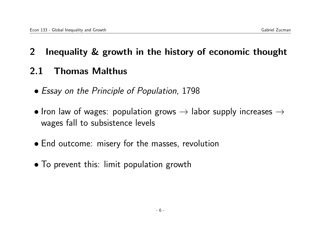## 2 Inequality & growth in the history of economic thought

## 2.1 Thomas Malthus

- Essay on the Principle of Population, 1798
- Iron law of wages: population grows  $\rightarrow$  labor supply increases  $\rightarrow$ wages fall to subsistence levels
- End outcome: misery for the masses, revolution
- To prevent this: limit population growth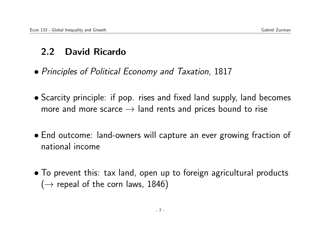## 2.2 David Ricardo

- Principles of Political Economy and Taxation, 1817
- Scarcity principle: if pop. rises and fixed land supply, land becomes more and more scarce  $\rightarrow$  land rents and prices bound to rise
- End outcome: land-owners will capture an ever growing fraction of national income
- To prevent this: tax land, open up to foreign agricultural products  $(\rightarrow$  repeal of the corn laws, 1846)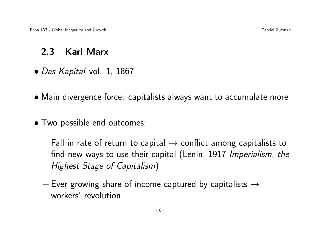### 2.3 Karl Marx

- Das Kapital vol. 1, 1867
- Main divergence force: capitalists always want to accumulate more
- Two possible end outcomes:
	- Fall in rate of return to capital  $\rightarrow$  conflict among capitalists to find new ways to use their capital (Lenin, 1917 Imperialism, the Highest Stage of Capitalism)
	- Ever growing share of income captured by capitalists  $\rightarrow$ workers' revolution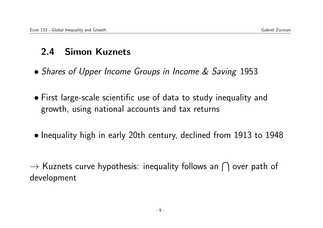## 2.4 Simon Kuznets

- Shares of Upper Income Groups in Income & Saving 1953
- First large-scale scientific use of data to study inequality and growth, using national accounts and tax returns
- Inequality high in early 20th century, declined from 1913 to 1948

 $\rightarrow$  Kuznets curve hypothesis: inequality follows an  $\bigcap$  over path of development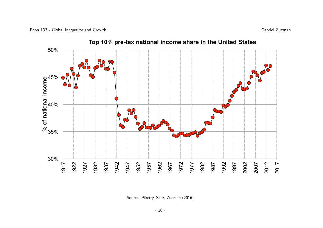

Source: Piketty, Saez, Zucman (2016)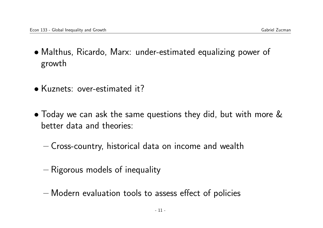- Malthus, Ricardo, Marx: under-estimated equalizing power of growth
- Kuznets: over-estimated it?
- Today we can ask the same questions they did, but with more & better data and theories:
	- Cross-country, historical data on income and wealth
	- Rigorous models of inequality
	- Modern evaluation tools to assess effect of policies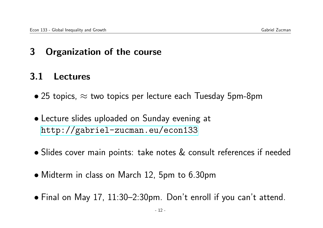## 3 Organization of the course

## 3.1 Lectures

- 25 topics,  $\approx$  two topics per lecture each Tuesday 5pm-8pm
- Lecture slides uploaded on Sunday evening at <http://gabriel-zucman.eu/econ133>
- Slides cover main points: take notes & consult references if needed
- Midterm in class on March 12, 5pm to 6.30pm
- Final on May 17, 11:30–2:30pm. Don't enroll if you can't attend.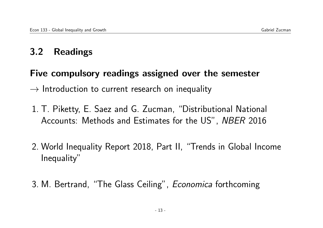# 3.2 Readings

#### Five compulsory readings assigned over the semester

 $\rightarrow$  Introduction to current research on inequality

- 1. T. Piketty, E. Saez and G. Zucman, "Distributional National Accounts: Methods and Estimates for the US", NBER 2016
- 2. World Inequality Report 2018, Part II, "Trends in Global Income Inequality"
- 3. M. Bertrand, "The Glass Ceiling", Economica forthcoming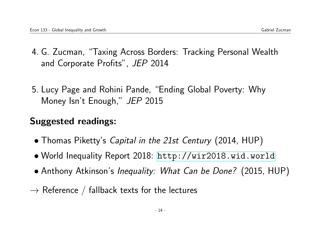- 4. G. Zucman, "Taxing Across Borders: Tracking Personal Wealth and Corporate Profits", JEP 2014
- 5. Lucy Page and Rohini Pande, "Ending Global Poverty: Why Money Isn't Enough," JEP 2015

## Suggested readings:

- Thomas Piketty's *Capital in the 21st Century* (2014, HUP)
- World Inequality Report 2018: <http://wir2018.wid.world>
- Anthony Atkinson's Inequality: What Can be Done? (2015, HUP)
- $\rightarrow$  Reference / fallback texts for the lectures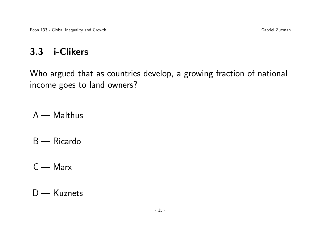# 3.3 i-Clikers

Who argued that as countries develop, a growing fraction of national income goes to land owners?

- A Malthus
- B Ricardo
- C Marx

D — Kuznets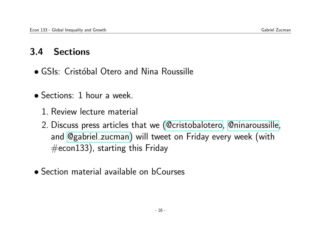## 3.4 Sections

- GSIs: Cristóbal Otero and Nina Roussille
- Sections: 1 hour a week.
	- 1. Review lecture material
	- 2. Discuss press articles that we [\(@cristobalotero,](https://twitter.com/schellenberg133) [@ninaroussille,](https://twitter.com/juliana_londono) and [@gabriel](https://twitter.com/gabriel_zucman) zucman) will tweet on Friday every week (with  $#$ econ133), starting this Friday
- Section material available on bCourses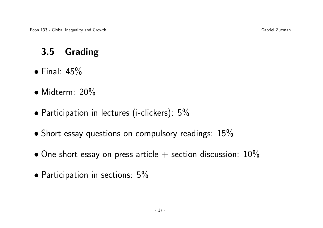# 3.5 Grading

- $\bullet$  Final:  $45\%$
- Midterm: 20%
- Participation in lectures (i-clickers): 5%
- Short essay questions on compulsory readings:  $15\%$
- $\bullet$  One short essay on press article  $+$  section discussion:  $10\%$
- Participation in sections: 5%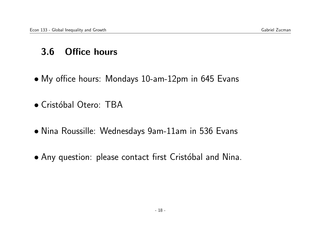## 3.6 Office hours

- My office hours: Mondays 10-am-12pm in 645 Evans
- Cristóbal Otero: TBA
- Nina Roussille: Wednesdays 9am-11am in 536 Evans
- Any question: please contact first Cristóbal and Nina.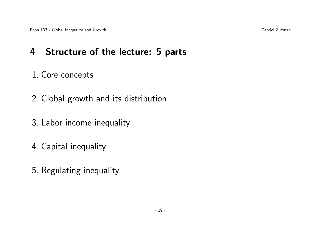## 4 Structure of the lecture: 5 parts

#### 1. Core concepts

- 2. Global growth and its distribution
- 3. Labor income inequality
- 4. Capital inequality
- 5. Regulating inequality